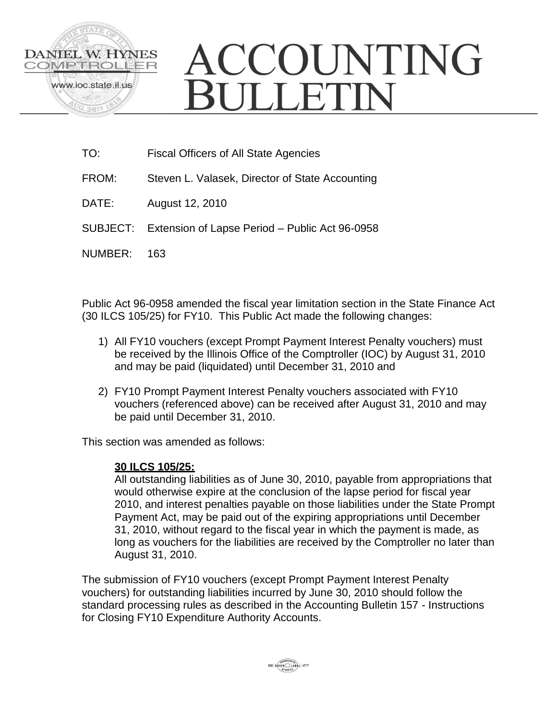

## ACCOUNTING **BULLETIN**

- TO: Fiscal Officers of All State Agencies
- FROM: Steven L. Valasek, Director of State Accounting
- DATE: August 12, 2010
- SUBJECT: Extension of Lapse Period Public Act 96-0958
- NUMBER: 163

Public Act 96-0958 amended the fiscal year limitation section in the State Finance Act (30 ILCS 105/25) for FY10. This Public Act made the following changes:

- 1) All FY10 vouchers (except Prompt Payment Interest Penalty vouchers) must be received by the Illinois Office of the Comptroller (IOC) by August 31, 2010 and may be paid (liquidated) until December 31, 2010 and
- 2) FY10 Prompt Payment Interest Penalty vouchers associated with FY10 vouchers (referenced above) can be received after August 31, 2010 and may be paid until December 31, 2010.

This section was amended as follows:

## **30 ILCS 105/25:**

All outstanding liabilities as of June 30, 2010, payable from appropriations that would otherwise expire at the conclusion of the lapse period for fiscal year 2010, and interest penalties payable on those liabilities under the State Prompt Payment Act, may be paid out of the expiring appropriations until December 31, 2010, without regard to the fiscal year in which the payment is made, as long as vouchers for the liabilities are received by the Comptroller no later than August 31, 2010.

The submission of FY10 vouchers (except Prompt Payment Interest Penalty vouchers) for outstanding liabilities incurred by June 30, 2010 should follow the standard processing rules as described in the Accounting Bulletin 157 - Instructions for Closing FY10 Expenditure Authority Accounts.